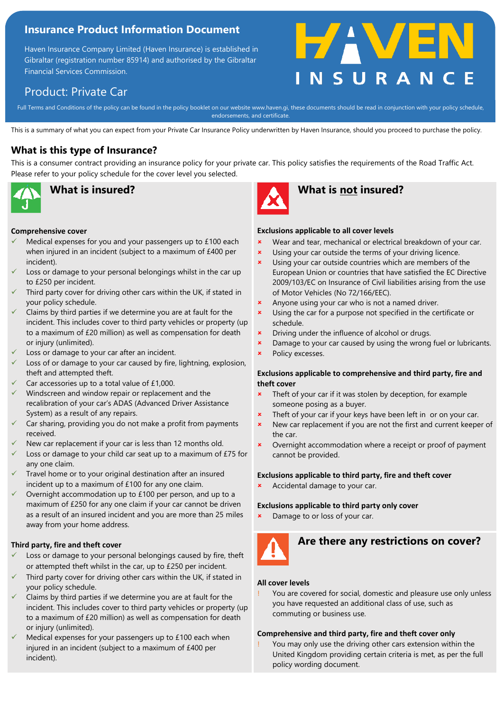# **Insurance Product Information Document**

Haven Insurance Company Limited (Haven Insurance) is established in Gibraltar (registration number 85914) and authorised by the Gibraltar Financial Services Commission.

# **HAVEN**

# Product: Private Car

Full Terms and Conditions of the policy can be found in the policy booklet on our website www.haven.gi, these documents should be read in conjunction with your policy schedule,<br>endorsements, and certificate endorsements, and certificate.

This is a summary of what you can expect from your Private Car Insurance Policy underwritten by Haven Insurance, should you proceed to purchase the policy.

# **What is this type of Insurance?**

This is a consumer contract providing an insurance policy for your private car. This policy satisfies the requirements of the Road Traffic Act. Please refer to your policy schedule for the cover level you selected.



#### **Comprehensive cover**

- Medical expenses for you and your passengers up to £100 each when injured in an incident (subject to a maximum of £400 per incident).
- Loss or damage to your personal belongings whilst in the car up to £250 per incident.
- Third party cover for driving other cars within the UK, if stated in your policy schedule.
- Claims by third parties if we determine you are at fault for the incident. This includes cover to third party vehicles or property (up to a maximum of £20 million) as well as compensation for death or injury (unlimited).
- Loss or damage to your car after an incident.
- Loss of or damage to your car caused by fire, lightning, explosion, theft and attempted theft.
- Car accessories up to a total value of £1,000.
- Windscreen and window repair or replacement and the recalibration of your car's ADAS (Advanced Driver Assistance System) as a result of any repairs.
- Car sharing, providing you do not make a profit from payments received.
- New car replacement if your car is less than 12 months old.
- Loss or damage to your child car seat up to a maximum of £75 for any one claim.
- Travel home or to your original destination after an insured incident up to a maximum of £100 for any one claim.
- Overnight accommodation up to £100 per person, and up to a maximum of £250 for any one claim if your car cannot be driven as a result of an insured incident and you are more than 25 miles away from your home address.

### **Third party, fire and theft cover**

- Loss or damage to your personal belongings caused by fire, theft or attempted theft whilst in the car, up to £250 per incident.
- Third party cover for driving other cars within the UK, if stated in your policy schedule.
- Claims by third parties if we determine you are at fault for the incident. This includes cover to third party vehicles or property (up to a maximum of £20 million) as well as compensation for death or injury (unlimited).
- Medical expenses for your passengers up to £100 each when injured in an incident (subject to a maximum of £400 per incident).



# **What is insured? What is not insured?**

### **Exclusions applicable to all cover levels**

- **\*** Wear and tear, mechanical or electrical breakdown of your car.
- **x** Using your car outside the terms of your driving licence.
- **x** Using your car outside countries which are members of the European Union or countries that have satisfied the EC Directive 2009/103/EC on Insurance of Civil liabilities arising from the use of Motor Vehicles (No 72/166/EEC).
- **\*** Anyone using your car who is not a named driver.
- **x** Using the car for a purpose not specified in the certificate or schedule.
- **\*** Driving under the influence of alcohol or drugs.
- **x** Damage to your car caused by using the wrong fuel or lubricants.
- **\*** Policy excesses.

#### **Exclusions applicable to comprehensive and third party, fire and theft cover**

- **\*** Theft of your car if it was stolen by deception, for example someone posing as a buyer.
- **\*** Theft of your car if your keys have been left in or on your car.
- **\*** New car replacement if you are not the first and current keeper of the car.
- **x** Overnight accommodation where a receipt or proof of payment cannot be provided.

### **Exclusions applicable to third party, fire and theft cover**

Accidental damage to your car.

#### **Exclusions applicable to third party only cover**

Damage to or loss of your car.



# **Are there any restrictions on cover?**

### **All cover levels**

You are covered for social, domestic and pleasure use only unless you have requested an additional class of use, such as commuting or business use.

### **Comprehensive and third party, fire and theft cover only**

You may only use the driving other cars extension within the United Kingdom providing certain criteria is met, as per the full policy wording document.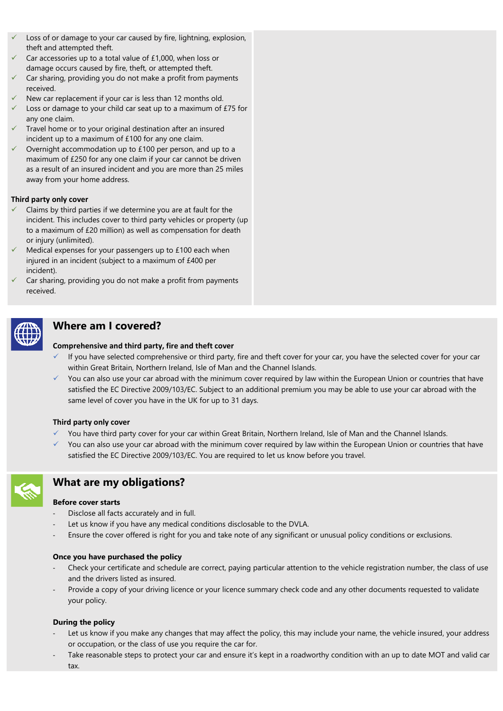- Loss of or damage to your car caused by fire, lightning, explosion, theft and attempted theft.
- Car accessories up to a total value of £1,000, when loss or damage occurs caused by fire, theft, or attempted theft.
- Car sharing, providing you do not make a profit from payments received.
- New car replacement if your car is less than 12 months old.
- Loss or damage to your child car seat up to a maximum of £75 for any one claim.
- Travel home or to your original destination after an insured incident up to a maximum of £100 for any one claim.
- Overnight accommodation up to £100 per person, and up to a maximum of £250 for any one claim if your car cannot be driven as a result of an insured incident and you are more than 25 miles away from your home address.

#### **Third party only cover**

- Claims by third parties if we determine you are at fault for the incident. This includes cover to third party vehicles or property (up to a maximum of £20 million) as well as compensation for death or injury (unlimited).
- Medical expenses for your passengers up to  $£100$  each when injured in an incident (subject to a maximum of £400 per incident).
- Car sharing, providing you do not make a profit from payments received.



# **Where am I covered?**

#### **Comprehensive and third party, fire and theft cover**

- If you have selected comprehensive or third party, fire and theft cover for your car, you have the selected cover for your car within Great Britain, Northern Ireland, Isle of Man and the Channel Islands.
- You can also use your car abroad with the minimum cover required by law within the European Union or countries that have satisfied the EC Directive 2009/103/EC. Subject to an additional premium you may be able to use your car abroad with the same level of cover you have in the UK for up to 31 days.

#### **Third party only cover**

- ✓ You have third party cover for your car within Great Britain, Northern Ireland, Isle of Man and the Channel Islands.
- $\checkmark$  You can also use your car abroad with the minimum cover required by law within the European Union or countries that have satisfied the EC Directive 2009/103/EC. You are required to let us know before you travel.



# **What are my obligations?**

### **Before cover starts**

- Disclose all facts accurately and in full.
- Let us know if you have any medical conditions disclosable to the DVLA.
- Ensure the cover offered is right for you and take note of any significant or unusual policy conditions or exclusions.

#### **Once you have purchased the policy**

- Check your certificate and schedule are correct, paying particular attention to the vehicle registration number, the class of use and the drivers listed as insured.
- Provide a copy of your driving licence or your licence summary check code and any other documents requested to validate your policy.

#### **During the policy**

- Let us know if you make any changes that may affect the policy, this may include your name, the vehicle insured, your address or occupation, or the class of use you require the car for.
- Take reasonable steps to protect your car and ensure it's kept in a roadworthy condition with an up to date MOT and valid car tax.